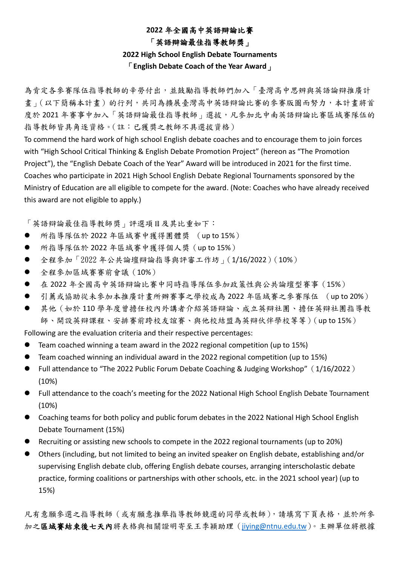# **2022** 年全國高中英語辯論比賽

#### 「英語辯論最佳指導教師獎」

### **2022 High School English Debate Tournaments**

#### 「**English Debate Coach of the Year Award**」

為肯定各參賽隊伍指導教師的辛勞付出,並鼓勵指導教師們加入「臺灣高中思辨與英語論辯推廣計 書 | (以下簡稱本計畫) 的行列,共同為擴展臺灣高中英語辯論比賽的參賽版圖而努力,本計畫將首 度於 2021 年審事中加入「英語辯論最佳指導教師」選拔,凡參加北中南英語辯論比審區域審隊伍的 指導教師皆具角逐資格。(註:已獲獎之教師不具選拔資格)

To commend the hard work of high school English debate coaches and to encourage them to join forces with "High School Critical Thinking & English Debate Promotion Project" (hereon as "The Promotion Project"), the "English Debate Coach of the Year" Award will be introduced in 2021 for the first time. Coaches who participate in 2021 High School English Debate Regional Tournaments sponsored by the Ministry of Education are all eligible to compete for the award. (Note: Coaches who have already received this award are not eligible to apply.)

「英語辯論最佳指導教師獎」評選項目及其比重如下:

- ⚫ 所指導隊伍於 2022 年區域賽中獲得團體獎 (up to 15%)
- ⚫ 所指導隊伍於 2022 年區域賽中獲得個人獎(up to 15%)
- 全程參加「2022年公共論壇辯論指導與評審工作坊」(1/16/2022)(10%)
- ⚫ 全程參加區域賽賽前會議(10%)
- 在 2022年全國高中英語辯論比賽中同時指導隊伍參加政策性與公共論壇型賽事 (15%)
- ⚫ 引薦或協助從未參加本推廣計畫所辦賽事之學校成為 2022 年區域賽之參賽隊伍 (up to 20%)
- 其他 (如於110學年度曾擔任校內外講者介紹英語辯論、成立英辯社團、擔任英辯社團指導教 師、開設英辯課程、安排賽前跨校友誼賽、與他校結盟為英辯伙伴學校等等)(up to 15%)

Following are the evaluation criteria and their respective percentages:

- ⚫ Team coached winning a team award in the 2022 regional competition (up to 15%)
- ⚫ Team coached winning an individual award in the 2022 regional competition (up to 15%)
- Full attendance to "The 2022 Public Forum Debate Coaching & Judging Workshop" (1/16/2022) (10%)
- Full attendance to the coach's meeting for the 2022 National High School English Debate Tournament (10%)
- Coaching teams for both policy and public forum debates in the 2022 National High School English Debate Tournament (15%)
- Recruiting or assisting new schools to compete in the 2022 regional tournaments (up to 20%)
- Others (including, but not limited to being an invited speaker on English debate, establishing and/or supervising English debate club, offering English debate courses, arranging interscholastic debate practice, forming coalitions or partnerships with other schools, etc. in the 2021 school year) (up to 15%)

凡有意願參選之指導教師(或有願意推舉指導教師競選的同學或教師),請填寫下頁表格,並於所參 加之區域賽結束後七天內將表格與相關證明寄至王季穎助理([jiying@ntnu.edu.tw](mailto:jiying@ntnu.edu.tw))。主辦單位將根據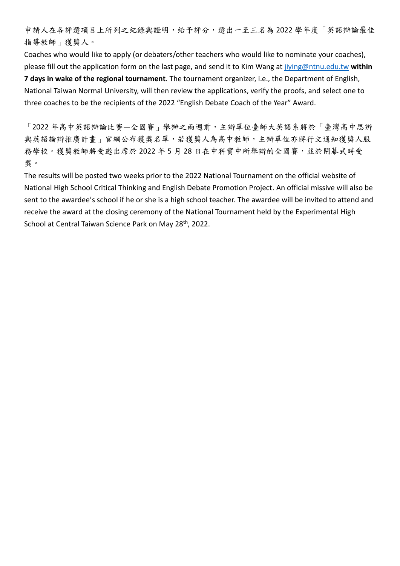申請人在各評選項目上所列之紀錄與證明,給予評分,選出一至三名為 2022 學年度「英語辯論最佳 指導教師」獲獎人。

Coaches who would like to apply (or debaters/other teachers who would like to nominate your coaches), please fill out the application form on the last page, and send it to Kim Wang at [jiying@ntnu.edu.tw](mailto:jiying@ntnu.edu.tw) **within 7 days in wake of the regional tournament**. The tournament organizer, i.e., the Department of English, National Taiwan Normal University, will then review the applications, verify the proofs, and select one to three coaches to be the recipients of the 2022 "English Debate Coach of the Year" Award.

「2022 年高中英語辯論比賽—全國賽」舉辦之兩週前,主辦單位臺師大英語系將於「臺灣高中思辨 與英語論辯推廣計畫」官網公布獲獎名單,若獲獎人為高中教師,主辦單位亦將行文通知獲獎人服 務學校。獲獎教師將受邀出席於 2022年5月28日在中科實中所舉辦的全國賽,並於閉幕式時受 獎。

The results will be posted two weeks prior to the 2022 National Tournament on the official website of National High School Critical Thinking and English Debate Promotion Project. An official missive will also be sent to the awardee's school if he or she is a high school teacher. The awardee will be invited to attend and receive the award at the closing ceremony of the National Tournament held by the Experimental High School at Central Taiwan Science Park on May 28<sup>th</sup>, 2022.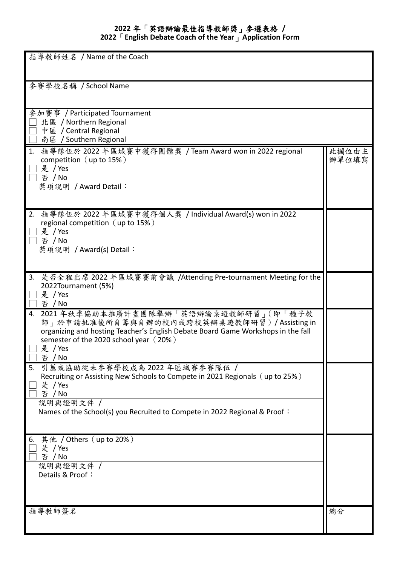## **2022** 年「英語辯論最佳指導教師獎」參選表格 **/**

**2022**「**English Debate Coach of the Year**」**Application Form**

| 指導教師姓名 / Name of the Coach                                                                                                                                                                                                               |                |
|------------------------------------------------------------------------------------------------------------------------------------------------------------------------------------------------------------------------------------------|----------------|
| 參賽學校名稱 / School Name                                                                                                                                                                                                                     |                |
| 參加賽事 / Participated Tournament<br>北區 / Northern Regional<br>中區 / Central Regional<br>南區 / Southern Regional                                                                                                                              |                |
| 1. 指導隊伍於 2022 年區域賽中獲得團體獎 / Team Award won in 2022 regional<br>competition (up to 15%)<br>是 / Yes<br>否 / No<br>獎項說明 / Award Detail:                                                                                                       | 此欄位由主<br>辦單位填寫 |
| 2. 指導隊伍於 2022 年區域賽中獲得個人獎 / Individual Award(s) won in 2022<br>regional competition (up to 15%)<br>是 / Yes<br>否 / No<br>獎項說明 / Award(s) Detail:                                                                                           |                |
| 3. 是否全程出席 2022 年區域賽賽前會議 /Attending Pre-tournament Meeting for the<br>2022Tournament (5%)<br>是 / Yes<br>否 / No                                                                                                                            |                |
| 4. 2021年秋季協助本推廣計畫團隊舉辦「英語辯論桌遊教師研習」(即「種子教<br>師」於申請批准後所自籌與自辦的校內或跨校英辯桌遊教師研習)/Assisting in<br>organizing and hosting Teacher's English Debate Board Game Workshops in the fall<br>semester of the 2020 school year (20%)<br>是 / Yes<br>否 / No |                |
| 引薦或協助從未參賽學校成為2022年區域賽參賽隊伍 /<br>5.<br>Recruiting or Assisting New Schools to Compete in 2021 Regionals (up to 25%)<br>是 / Yes<br>否 / No<br>說明與證明文件 /<br>Names of the School(s) you Recruited to Compete in 2022 Regional & Proof:         |                |
| 其他 / Others(up to 20%)<br>6.<br>是 / Yes<br>否 / No<br>說明與證明文件 /<br>Details & Proof:                                                                                                                                                       |                |
| 指導教師簽名                                                                                                                                                                                                                                   | 總分             |